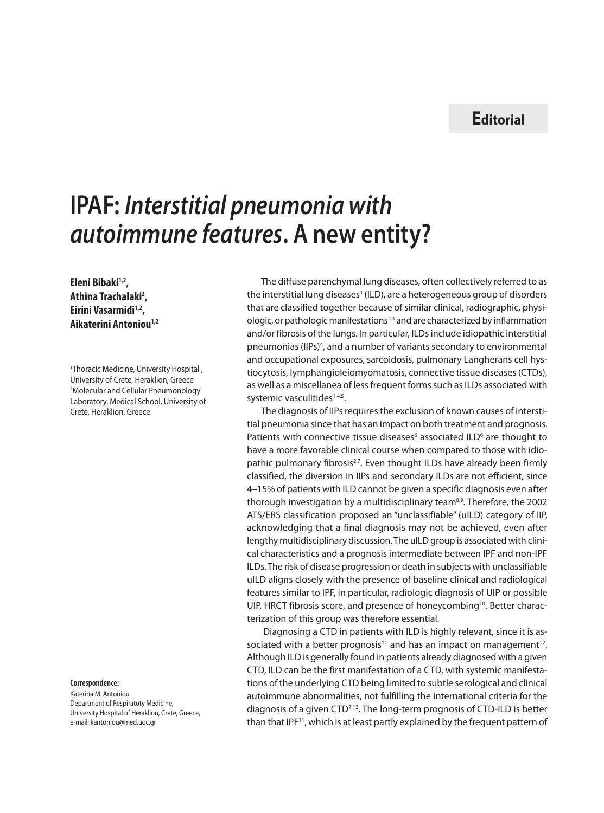## **Editorial**

## **IPAF:** *Interstitial pneumonia with autoimmune features***. A new entity?**

Eleni Bibaki<sup>1,2</sup>, **Athina Trachalaki2 , Eirini Vasarmidi1,2, Aikaterini Antoniou1,2**

1 Thoracic Medicine, University Hospital , University of Crete, Heraklion, Greece 2 Molecular and Cellular Pneumonology Laboratory, Medical School, University of Crete, Heraklion, Greece

## **Correspondence:**

Katerina M. Antoniou Department of Respiratoty Medicine, University Hospital of Heraklion, Crete, Greece, e-mail: kantoniou@med.uoc.gr

The diffuse parenchymal lung diseases, often collectively referred to as the interstitial lung diseases<sup>1</sup> (ILD), are a heterogeneous group of disorders that are classified together because of similar clinical, radiographic, physiologic, or pathologic manifestations<sup>2,3</sup> and are characterized by inflammation and/or fibrosis of the lungs. In particular, ILDs include idiopathic interstitial pneumonias (IIPs)<sup>4</sup>, and a number of variants secondary to environmental and occupational exposures, sarcoidosis, pulmonary Langherans cell hystiocytosis, lymphangioleiomyomatosis, connective tissue diseases (CTDs), as well as a miscellanea of less frequent forms such as ILDs associated with systemic vasculitides<sup>1,4,5</sup>.

The diagnosis of IIPs requires the exclusion of known causes of interstitial pneumonia since that has an impact on both treatment and prognosis. Patients with connective tissue diseases $6$  associated ILD $6$  are thought to have a more favorable clinical course when compared to those with idiopathic pulmonary fibrosis<sup>2,7</sup>. Even thought ILDs have already been firmly classified, the diversion in IIPs and secondary ILDs are not efficient, since 4–15% of patients with ILD cannot be given a specific diagnosis even after thorough investigation by a multidisciplinary team<sup>8,9</sup>. Therefore, the 2002 ATS/ERS classification proposed an "unclassifiable" (uILD) category of IIP, acknowledging that a final diagnosis may not be achieved, even after lengthy multidisciplinary discussion. The uILD group is associated with clinical characteristics and a prognosis intermediate between IPF and non-IPF ILDs. The risk of disease progression or death in subjects with unclassifiable uILD aligns closely with the presence of baseline clinical and radiological features similar to IPF, in particular, radiologic diagnosis of UIP or possible UIP, HRCT fibrosis score, and presence of honeycombing<sup>10</sup>. Better characterization of this group was therefore essential.

 Diagnosing a CTD in patients with ILD is highly relevant, since it is associated with a better prognosis<sup>11</sup> and has an impact on management<sup>12</sup>. Although ILD is generally found in patients already diagnosed with a given CTD, ILD can be the first manifestation of a CTD, with systemic manifestations of the underlying CTD being limited to subtle serological and clinical autoimmune abnormalities, not fulfilling the international criteria for the diagnosis of a given CTD7,13. The long-term prognosis of CTD-ILD is better than that IPF<sup>11</sup>, which is at least partly explained by the frequent pattern of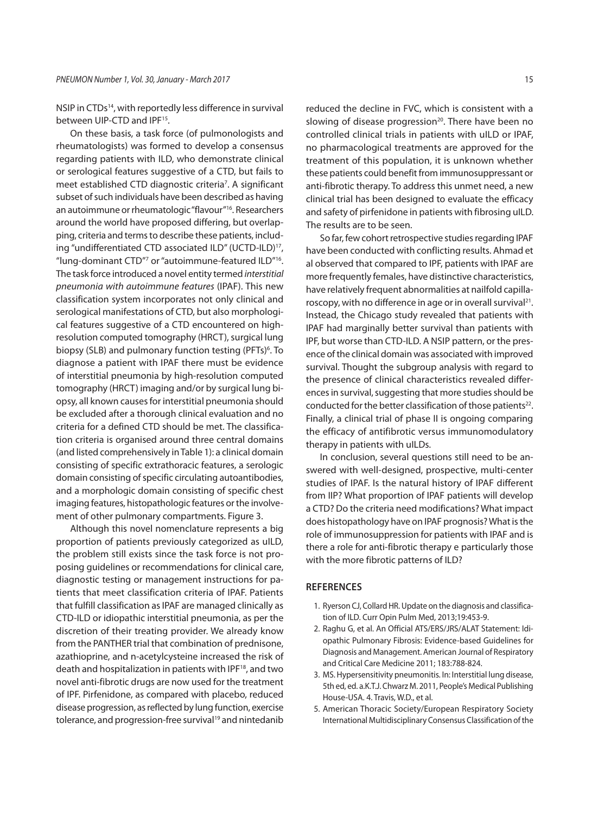NSIP in CTDs<sup>14</sup>, with reportedly less difference in survival between UIP-CTD and IPF<sup>15</sup>.

On these basis, a task force (of pulmonologists and rheumatologists) was formed to develop a consensus regarding patients with ILD, who demonstrate clinical or serological features suggestive of a CTD, but fails to meet established CTD diagnostic criteria<sup>7</sup>. A significant subset of such individuals have been described as having an autoimmune or rheumatologic "flavour"<sup>16</sup>. Researchers around the world have proposed differing, but overlapping, criteria and terms to describe these patients, including "undifferentiated CTD associated ILD" (UCTD-ILD)17, "lung-dominant CTD"7 or "autoimmune-featured ILD"16. The task force introduced a novel entity termed *interstitial pneumonia with autoimmune features* (IPAF). This new classification system incorporates not only clinical and serological manifestations of CTD, but also morphological features suggestive of a CTD encountered on highresolution computed tomography (HRCT), surgical lung biopsy (SLB) and pulmonary function testing (PFTs)<sup>6</sup>. To diagnose a patient with IPAF there must be evidence of interstitial pneumonia by high-resolution computed tomography (HRCT) imaging and/or by surgical lung biopsy, all known causes for interstitial pneumonia should be excluded after a thorough clinical evaluation and no criteria for a defined CTD should be met. The classification criteria is organised around three central domains (and listed comprehensively in Table 1): a clinical domain consisting of specific extrathoracic features, a serologic domain consisting of specific circulating autoantibodies, and a morphologic domain consisting of specific chest imaging features, histopathologic features or the involvement of other pulmonary compartments. Figure 3.

Although this novel nomenclature represents a big proportion of patients previously categorized as uILD, the problem still exists since the task force is not proposing guidelines or recommendations for clinical care, diagnostic testing or management instructions for patients that meet classification criteria of IPAF. Patients that fulfill classification as IPAF are managed clinically as CTD-ILD or idiopathic interstitial pneumonia, as per the discretion of their treating provider. We already know from the PANTHER trial that combination of prednisone, azathioprine, and n-acetylcysteine increased the risk of death and hospitalization in patients with IPF<sup>18</sup>, and two novel anti-fibrotic drugs are now used for the treatment of IPF. Pirfenidone, as compared with placebo, reduced disease progression, as reflected by lung function, exercise tolerance, and progression-free survival<sup>19</sup> and nintedanib

reduced the decline in FVC, which is consistent with a slowing of disease progression $20$ . There have been no controlled clinical trials in patients with uILD or IPAF, no pharmacological treatments are approved for the treatment of this population, it is unknown whether these patients could benefit from immunosuppressant or anti-fibrotic therapy. To address this unmet need, a new clinical trial has been designed to evaluate the efficacy and safety of pirfenidone in patients with fibrosing uILD. The results are to be seen.

So far, few cohort retrospective studies regarding IPAF have been conducted with conflicting results. Ahmad et al observed that compared to IPF, patients with IPAF are more frequently females, have distinctive characteristics, have relatively frequent abnormalities at nailfold capillaroscopy, with no difference in age or in overall survival<sup>21</sup>. Instead, the Chicago study revealed that patients with IPAF had marginally better survival than patients with IPF, but worse than CTD-ILD. A NSIP pattern, or the presence of the clinical domain was associated with improved survival. Thought the subgroup analysis with regard to the presence of clinical characteristics revealed differences in survival, suggesting that more studies should be conducted for the better classification of those patients<sup>22</sup>. Finally, a clinical trial of phase II is ongoing comparing the efficacy of antifibrotic versus immunomodulatory therapy in patients with uILDs.

In conclusion, several questions still need to be answered with well-designed, prospective, multi-center studies of IPAF. Is the natural history of IPAF different from IIP? What proportion of IPAF patients will develop a CTD? Do the criteria need modifications? What impact does histopathology have on IPAF prognosis? What is the role of immunosuppression for patients with IPAF and is there a role for anti-fibrotic therapy e particularly those with the more fibrotic patterns of ILD?

## **References**

- 1. Ryerson CJ, Collard HR. Update on the diagnosis and classification of ILD. Curr Opin Pulm Med, 2013;19:453-9.
- 2. Raghu G, et al. An Official ATS/ERS/JRS/ALAT Statement: Idiopathic Pulmonary Fibrosis: Evidence-based Guidelines for Diagnosis and Management. American Journal of Respiratory and Critical Care Medicine 2011; 183:788-824.
- 3. MS. Hypersensitivity pneumonitis. In: Interstitial lung disease, 5th ed, ed. a.K.T.J. Chwarz M. 2011, People's Medical Publishing House-USA. 4. Travis, W.D., et al.
- 5. American Thoracic Society/European Respiratory Society International Multidisciplinary Consensus Classification of the